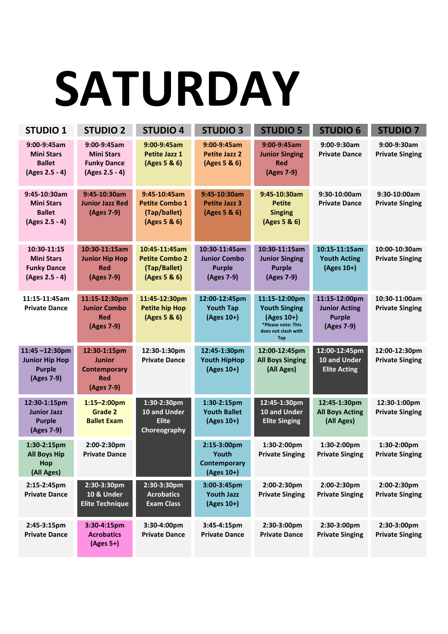#### **SATURDAY**

| <b>STUDIO 1</b>                                                          | <b>STUDIO 2</b>                                                                  | <b>STUDIO 4</b>                                                        | <b>STUDIO 3</b>                                                     | <b>STUDIO 5</b>                                                                                                | <b>STUDIO 6</b>                                                      | <b>STUDIO 7</b>                         |
|--------------------------------------------------------------------------|----------------------------------------------------------------------------------|------------------------------------------------------------------------|---------------------------------------------------------------------|----------------------------------------------------------------------------------------------------------------|----------------------------------------------------------------------|-----------------------------------------|
| 9:00-9:45am<br><b>Mini Stars</b><br><b>Ballet</b><br>(Ages 2.5 - 4)      | 9:00-9:45am<br><b>Mini Stars</b><br><b>Funky Dance</b><br>(Ages 2.5 - 4)         | 9:00-9:45am<br>Petite Jazz 1<br>(Ages 5 & 6)                           | 9:00-9:45am<br><b>Petite Jazz 2</b><br>(Ages 5 & 6)                 | 9:00-9:45am<br><b>Junior Singing</b><br><b>Red</b><br>(Ages 7-9)                                               | 9:00-9:30am<br><b>Private Dance</b>                                  | 9:00-9:30am<br><b>Private Singing</b>   |
| 9:45-10:30am<br><b>Mini Stars</b><br><b>Ballet</b><br>(Ages 2.5 - 4)     | 9:45-10:30am<br><b>Junior Jazz Red</b><br>(Ages 7-9)                             | 9:45-10:45am<br><b>Petite Combo 1</b><br>(Tap/ballet)<br>(Ages 5 & 6)  | 9:45-10:30am<br><b>Petite Jazz 3</b><br>(Ages 5 & 6)                | 9:45-10:30am<br><b>Petite</b><br><b>Singing</b><br>(Ages 5 & 6)                                                | 9:30-10:00am<br><b>Private Dance</b>                                 | 9:30-10:00am<br><b>Private Singing</b>  |
| 10:30-11:15<br><b>Mini Stars</b><br><b>Funky Dance</b><br>(Ages 2.5 - 4) | 10:30-11:15am<br><b>Junior Hip Hop</b><br><b>Red</b><br>(Ages 7-9)               | 10:45-11:45am<br><b>Petite Combo 2</b><br>(Tap/Ballet)<br>(Ages 5 & 6) | 10:30-11:45am<br><b>Junior Combo</b><br><b>Purple</b><br>(Ages 7-9) | 10:30-11:15am<br><b>Junior Singing</b><br><b>Purple</b><br>(Ages 7-9)                                          | 10:15-11:15am<br><b>Youth Acting</b><br>(Ages 10+)                   | 10:00-10:30am<br><b>Private Singing</b> |
| 11:15-11:45am<br><b>Private Dance</b>                                    | 11:15-12:30pm<br><b>Junior Combo</b><br><b>Red</b><br>(Ages 7-9)                 | 11:45-12:30pm<br><b>Petite hip Hop</b><br>(Ages 5 & 6)                 | 12:00-12:45pm<br><b>Youth Tap</b><br>(Ages 10+)                     | 11:15-12:00pm<br><b>Youth Singing</b><br>(Ages 10+)<br>*Please note: This<br>does not clash with<br><b>Tap</b> | 11:15-12:00pm<br><b>Junior Acting</b><br><b>Purple</b><br>(Ages 7-9) | 10:30-11:00am<br><b>Private Singing</b> |
| 11:45-12:30pm<br><b>Junior Hip Hop</b><br><b>Purple</b><br>(Ages 7-9)    | 12:30-1:15pm<br><b>Junior</b><br><b>Contemporary</b><br><b>Red</b><br>(Ages 7-9) | 12:30-1:30pm<br><b>Private Dance</b>                                   | 12:45-1:30pm<br><b>Youth HipHop</b><br>(Ages 10+)                   | 12:00-12:45pm<br><b>All Boys Singing</b><br>(All Ages)                                                         | 12:00-12:45pm<br>10 and Under<br><b>Elite Acting</b>                 | 12:00-12:30pm<br><b>Private Singing</b> |
| 12:30-1:15pm<br><b>Junior Jazz</b><br><b>Purple</b><br>(Ages 7-9)        | $1:15 - 2:00$ pm<br>Grade 2<br><b>Ballet Exam</b>                                | 1:30-2:30pm<br>10 and Under<br><b>Elite</b><br>Choreography            | 1:30-2:15pm<br><b>Youth Ballet</b><br>(Ages 10+)                    | 12:45-1:30pm<br>10 and Under<br><b>Elite Singing</b>                                                           | 12:45-1:30pm<br><b>All Boys Acting</b><br>(All Ages)                 | 12:30-1:00pm<br><b>Private Singing</b>  |
| 1:30-2:15pm<br><b>All Boys Hip</b><br>Hop<br>(All Ages)                  | 2:00-2:30pm<br><b>Private Dance</b>                                              |                                                                        | 2:15-3:00pm<br>Youth<br><b>Contemporary</b><br>(Ages 10+)           | 1:30-2:00pm<br><b>Private Singing</b>                                                                          | 1:30-2:00pm<br><b>Private Singing</b>                                | 1:30-2:00pm<br><b>Private Singing</b>   |
| 2:15-2:45pm<br><b>Private Dance</b>                                      | 2:30-3:30pm<br>10 & Under<br><b>Elite Technique</b>                              | 2:30-3:30pm<br><b>Acrobatics</b><br><b>Exam Class</b>                  | 3:00-3:45pm<br><b>Youth Jazz</b><br>(Ages 10+)                      | 2:00-2:30pm<br><b>Private Singing</b>                                                                          | 2:00-2:30pm<br><b>Private Singing</b>                                | 2:00-2:30pm<br><b>Private Singing</b>   |
| 2:45-3:15pm<br><b>Private Dance</b>                                      | 3:30-4:15pm<br><b>Acrobatics</b><br>$(Ages 5+)$                                  | 3:30-4:00pm<br><b>Private Dance</b>                                    | 3:45-4:15pm<br><b>Private Dance</b>                                 | 2:30-3:00pm<br><b>Private Dance</b>                                                                            | 2:30-3:00pm<br><b>Private Singing</b>                                | 2:30-3:00pm<br><b>Private Singing</b>   |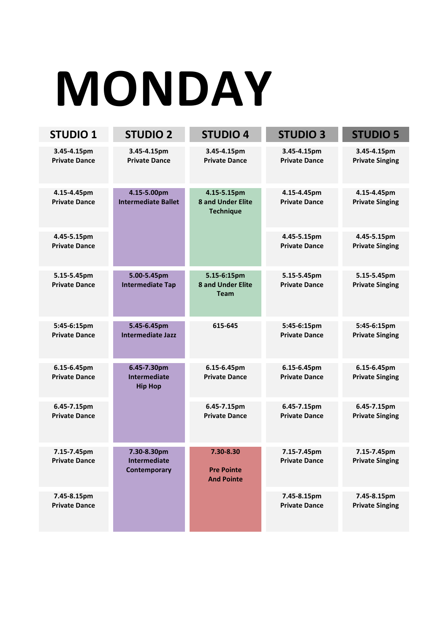# **MONDAY**

| <b>STUDIO 1</b>                     | <b>STUDIO 2</b>                                      | <b>STUDIO 4</b>                                             | <b>STUDIO 3</b>                     | <b>STUDIO 5</b>                       |
|-------------------------------------|------------------------------------------------------|-------------------------------------------------------------|-------------------------------------|---------------------------------------|
| 3.45-4.15pm<br><b>Private Dance</b> | 3.45-4.15pm<br><b>Private Dance</b>                  | 3.45-4.15pm<br><b>Private Dance</b>                         | 3.45-4.15pm<br><b>Private Dance</b> | 3.45-4.15pm<br><b>Private Singing</b> |
| 4.15-4.45pm<br><b>Private Dance</b> | 4.15-5.00pm<br><b>Intermediate Ballet</b>            | 4.15-5.15pm<br><b>8 and Under Elite</b><br><b>Technique</b> | 4.15-4.45pm<br><b>Private Dance</b> | 4.15-4.45pm<br><b>Private Singing</b> |
| 4.45-5.15pm<br><b>Private Dance</b> |                                                      |                                                             | 4.45-5.15pm<br><b>Private Dance</b> | 4.45-5.15pm<br><b>Private Singing</b> |
| 5.15-5.45pm<br><b>Private Dance</b> | 5.00-5.45pm<br><b>Intermediate Tap</b>               | 5.15-6:15pm<br><b>8 and Under Elite</b><br><b>Team</b>      | 5.15-5.45pm<br><b>Private Dance</b> | 5.15-5.45pm<br><b>Private Singing</b> |
| 5:45-6:15pm<br><b>Private Dance</b> | 5.45-6.45pm<br><b>Intermediate Jazz</b>              | 615-645                                                     | 5:45-6:15pm<br><b>Private Dance</b> | 5:45-6:15pm<br><b>Private Singing</b> |
| 6.15-6.45pm<br><b>Private Dance</b> | 6.45-7.30pm<br><b>Intermediate</b><br><b>Hip Hop</b> | 6.15-6.45pm<br><b>Private Dance</b>                         | 6.15-6.45pm<br><b>Private Dance</b> | 6.15-6.45pm<br><b>Private Singing</b> |
| 6.45-7.15pm<br><b>Private Dance</b> |                                                      | 6.45-7.15pm<br><b>Private Dance</b>                         | 6.45-7.15pm<br><b>Private Dance</b> | 6.45-7.15pm<br><b>Private Singing</b> |
| 7.15-7.45pm<br><b>Private Dance</b> | 7.30-8.30pm<br><b>Intermediate</b><br>Contemporary   | 7.30-8.30<br><b>Pre Pointe</b><br><b>And Pointe</b>         | 7.15-7.45pm<br><b>Private Dance</b> | 7.15-7.45pm<br><b>Private Singing</b> |
| 7.45-8.15pm<br><b>Private Dance</b> |                                                      |                                                             | 7.45-8.15pm<br><b>Private Dance</b> | 7.45-8.15pm<br><b>Private Singing</b> |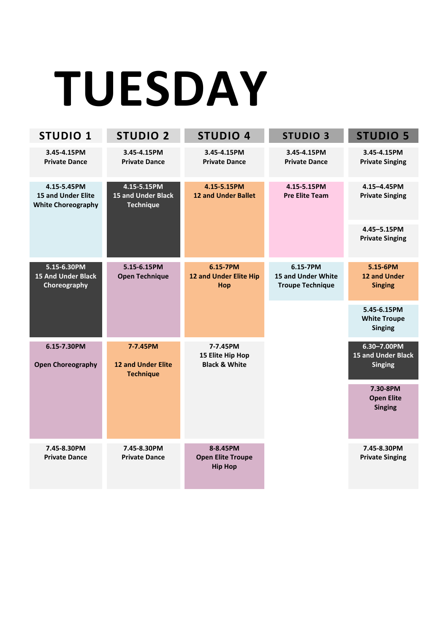# **TUESDAY**

| <b>STUDIO 1</b>                                                       | <b>STUDIO 2</b>                                              | <b>STUDIO 4</b>                                          | <b>STUDIO 3</b>                                           | <b>STUDIO 5</b>                                      |
|-----------------------------------------------------------------------|--------------------------------------------------------------|----------------------------------------------------------|-----------------------------------------------------------|------------------------------------------------------|
| 3.45-4.15PM<br><b>Private Dance</b>                                   | 3.45-4.15PM<br><b>Private Dance</b>                          | 3.45-4.15PM<br><b>Private Dance</b>                      | 3.45-4.15PM<br><b>Private Dance</b>                       | 3.45-4.15PM<br><b>Private Singing</b>                |
| 4.15-5.45PM<br><b>15 and Under Elite</b><br><b>White Choreography</b> | 4.15-5.15PM<br><b>15 and Under Black</b><br><b>Technique</b> | 4.15-5.15PM<br><b>12 and Under Ballet</b>                | 4.15-5.15PM<br><b>Pre Elite Team</b>                      | 4.15-4.45PM<br><b>Private Singing</b>                |
|                                                                       |                                                              |                                                          |                                                           | 4.45-5.15PM<br><b>Private Singing</b>                |
| 5.15-6.30PM<br><b>15 And Under Black</b><br>Choreography              | 5.15-6.15PM<br><b>Open Technique</b>                         | 6.15-7PM<br>12 and Under Elite Hip<br>Hop                | 6.15-7PM<br>15 and Under White<br><b>Troupe Technique</b> | 5.15-6PM<br>12 and Under<br><b>Singing</b>           |
|                                                                       |                                                              |                                                          |                                                           | 5.45-6.15PM<br><b>White Troupe</b><br><b>Singing</b> |
| 6.15-7.30PM<br><b>Open Choreography</b>                               | 7-7.45PM<br><b>12 and Under Elite</b><br><b>Technique</b>    | 7-7.45PM<br>15 Elite Hip Hop<br><b>Black &amp; White</b> |                                                           | 6.30-7.00PM<br>15 and Under Black<br><b>Singing</b>  |
|                                                                       |                                                              |                                                          |                                                           | 7.30-8PM<br><b>Open Elite</b><br><b>Singing</b>      |
| 7.45-8.30PM<br><b>Private Dance</b>                                   | 7.45-8.30PM<br><b>Private Dance</b>                          | 8-8.45PM<br><b>Open Elite Troupe</b><br><b>Hip Hop</b>   |                                                           | 7.45-8.30PM<br><b>Private Singing</b>                |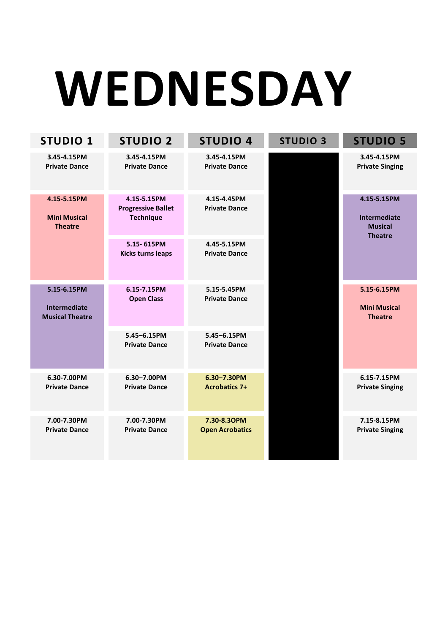# **WEDNESDAY**

| <b>STUDIO 1</b>                                              | <b>STUDIO 2</b>                                              | <b>STUDIO 4</b>                       | <b>STUDIO 3</b> | <b>STUDIO 5</b>                                                        |
|--------------------------------------------------------------|--------------------------------------------------------------|---------------------------------------|-----------------|------------------------------------------------------------------------|
| 3.45-4.15PM<br><b>Private Dance</b>                          | 3.45-4.15PM<br><b>Private Dance</b>                          | 3.45-4.15PM<br><b>Private Dance</b>   |                 | 3.45-4.15PM<br><b>Private Singing</b>                                  |
| 4.15-5.15PM<br><b>Mini Musical</b><br><b>Theatre</b>         | 4.15-5.15PM<br><b>Progressive Ballet</b><br><b>Technique</b> | 4.15-4.45PM<br><b>Private Dance</b>   |                 | 4.15-5.15PM<br><b>Intermediate</b><br><b>Musical</b><br><b>Theatre</b> |
|                                                              | 5.15-615PM<br><b>Kicks turns leaps</b>                       | 4.45-5.15PM<br><b>Private Dance</b>   |                 |                                                                        |
| 5.15-6.15PM<br><b>Intermediate</b><br><b>Musical Theatre</b> | 6.15-7.15PM<br><b>Open Class</b>                             | 5.15-5.45PM<br><b>Private Dance</b>   |                 | 5.15-6.15PM<br><b>Mini Musical</b><br><b>Theatre</b>                   |
|                                                              | 5.45-6.15PM<br><b>Private Dance</b>                          | 5.45-6.15PM<br><b>Private Dance</b>   |                 |                                                                        |
| 6.30-7.00PM<br><b>Private Dance</b>                          | 6.30-7.00PM<br><b>Private Dance</b>                          | 6.30-7.30PM<br><b>Acrobatics 7+</b>   |                 | 6.15-7.15PM<br><b>Private Singing</b>                                  |
| 7.00-7.30PM<br><b>Private Dance</b>                          | 7.00-7.30PM<br><b>Private Dance</b>                          | 7.30-8.30PM<br><b>Open Acrobatics</b> |                 | 7.15-8.15PM<br><b>Private Singing</b>                                  |